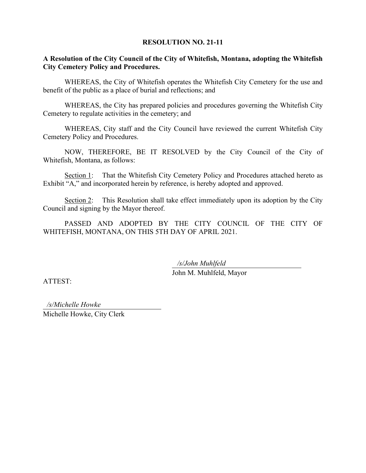#### **RESOLUTION NO. 21-11**

#### **A Resolution of the City Council of the City of Whitefish, Montana, adopting the Whitefish City Cemetery Policy and Procedures.**

WHEREAS, the City of Whitefish operates the Whitefish City Cemetery for the use and benefit of the public as a place of burial and reflections; and

WHEREAS, the City has prepared policies and procedures governing the Whitefish City Cemetery to regulate activities in the cemetery; and

WHEREAS, City staff and the City Council have reviewed the current Whitefish City Cemetery Policy and Procedures.

NOW, THEREFORE, BE IT RESOLVED by the City Council of the City of Whitefish, Montana, as follows:

Section 1: That the Whitefish City Cemetery Policy and Procedures attached hereto as Exhibit "A," and incorporated herein by reference, is hereby adopted and approved.

Section 2: This Resolution shall take effect immediately upon its adoption by the City Council and signing by the Mayor thereof.

PASSED AND ADOPTED BY THE CITY COUNCIL OF THE CITY OF WHITEFISH, MONTANA, ON THIS 5TH DAY OF APRIL 2021.

*/s/John Muhlfeld*

John M. Muhlfeld, Mayor

ATTEST:

Michelle Howke, City Clerk */s/Michelle Howke*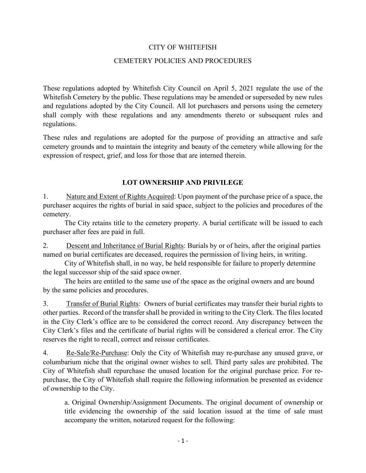### CITY OF WHITEFISH

#### CEMETERY POLICIES AND PROCEDURES

These regulations adopted by Whitefish City Council on April 5, 2021 regulate the use of the Whitefish Cemetery by the public. These regulations may be amended or superseded by new rules and regulations adopted by the City Council. All lot purchasers and persons using the cemetery shall comply with these regulations and any amendments thereto or subsequent rules and regulations.

These rules and regulations are adopted for the purpose of providing an attractive and safe cemetery grounds and to maintain the integrity and beauty of the cemetery while allowing for the expression of respect, grief, and loss for those that are interned therein.

### **LOT OWNERSHIP AND PRIVILEGE**

1. Nature and Extent of Rights Acquired: Upon payment of the purchase price of a space, the purchaser acquires the rights of burial in said space, subject to the policies and procedures of the cemetery.

The City retains title to the cemetery property. A burial certificate will be issued to each purchaser after fees are paid in full.

2. Descent and Inheritance of Burial Rights: Burials by or of heirs, after the original parties named on burial certificates are deceased, requires the permission of living heirs, in writing.

City of Whitefish shall, in no way, be held responsible for failure to properly determine the legal successor ship of the said space owner.

The heirs are entitled to the same use of the space as the original owners and are bound by the same policies and procedures.

3. Transfer of Burial Rights: Owners of burial certificates may transfer their burial rights to other parties. Record of the transfer shall be provided in writing to the City Clerk. The files located in the City Clerk's office are to be considered the correct record. Any discrepancy between the City Clerk's files and the certificate of burial rights will be considered a clerical error. The City reserves the right to recall, correct and reissue certificates.

4. Re-Sale/Re-Purchase: Only the City of Whitefish may re-purchase any unused grave, or columbarium niche that the original owner wishes to sell. Third party sales are prohibited. The City of Whitefish shall repurchase the unused location for the original purchase price. For repurchase, the City of Whitefish shall require the following information be presented as evidence of ownership to the City.

a. Original Ownership/Assignment Documents. The original document of ownership or title evidencing the ownership of the said location issued at the time of sale must accompany the written, notarized request for the following: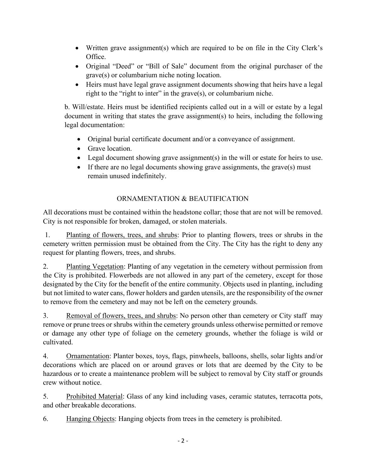- Written grave assignment(s) which are required to be on file in the City Clerk's Office.
- Original "Deed" or "Bill of Sale" document from the original purchaser of the grave(s) or columbarium niche noting location.
- Heirs must have legal grave assignment documents showing that heirs have a legal right to the "right to inter" in the grave(s), or columbarium niche.

b. Will/estate. Heirs must be identified recipients called out in a will or estate by a legal document in writing that states the grave assignment(s) to heirs, including the following legal documentation:

- Original burial certificate document and/or a conveyance of assignment.
- Grave location.
- Legal document showing grave assignment(s) in the will or estate for heirs to use.
- If there are no legal documents showing grave assignments, the grave(s) must remain unused indefinitely.

# ORNAMENTATION & BEAUTIFICATION

All decorations must be contained within the headstone collar; those that are not will be removed. City is not responsible for broken, damaged, or stolen materials.

1. Planting of flowers, trees, and shrubs: Prior to planting flowers, trees or shrubs in the cemetery written permission must be obtained from the City. The City has the right to deny any request for planting flowers, trees, and shrubs.

2. Planting Vegetation: Planting of any vegetation in the cemetery without permission from the City is prohibited. Flowerbeds are not allowed in any part of the cemetery, except for those designated by the City for the benefit of the entire community. Objects used in planting, including but not limited to water cans, flower holders and garden utensils, are the responsibility of the owner to remove from the cemetery and may not be left on the cemetery grounds.

3. Removal of flowers, trees, and shrubs: No person other than cemetery or City staff may remove or prune trees or shrubs within the cemetery grounds unless otherwise permitted or remove or damage any other type of foliage on the cemetery grounds, whether the foliage is wild or cultivated.

4. Ornamentation: Planter boxes, toys, flags, pinwheels, balloons, shells, solar lights and/or decorations which are placed on or around graves or lots that are deemed by the City to be hazardous or to create a maintenance problem will be subject to removal by City staff or grounds crew without notice.

5. Prohibited Material: Glass of any kind including vases, ceramic statutes, terracotta pots, and other breakable decorations.

6. Hanging Objects: Hanging objects from trees in the cemetery is prohibited.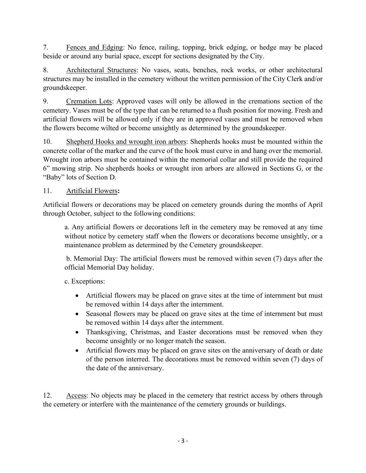7. Fences and Edging: No fence, railing, topping, brick edging, or hedge may be placed beside or around any burial space, except for sections designated by the City.

8. Architectural Structures: No vases, seats, benches, rock works, or other architectural structures may be installed in the cemetery without the written permission of the City Clerk and/or groundskeeper.

9. Cremation Lots: Approved vases will only be allowed in the cremations section of the cemetery. Vases must be of the type that can be returned to a flush position for mowing. Fresh and artificial flowers will be allowed only if they are in approved vases and must be removed when the flowers become wilted or become unsightly as determined by the groundskeeper.

10. Shepherd Hooks and wrought iron arbors: Shepherds hooks must be mounted within the concrete collar of the marker and the curve of the hook must curve in and hang over the memorial. Wrought iron arbors must be contained within the memorial collar and still provide the required 6" mowing strip. No shepherds hooks or wrought iron arbors are allowed in Sections G, or the "Baby" lots of Section D.

## 11. Artificial Flowers**:**

Artificial flowers or decorations may be placed on cemetery grounds during the months of April through October, subject to the following conditions:

a. Any artificial flowers or decorations left in the cemetery may be removed at any time without notice by cemetery staff when the flowers or decorations become unsightly, or a maintenance problem as determined by the Cemetery groundskeeper.

b. Memorial Day: The artificial flowers must be removed within seven (7) days after the official Memorial Day holiday.

c. Exceptions:

- Artificial flowers may be placed on grave sites at the time of internment but must be removed within 14 days after the internment.
- Seasonal flowers may be placed on grave sites at the time of internment but must be removed within 14 days after the internment.
- Thanksgiving, Christmas, and Easter decorations must be removed when they become unsightly or no longer match the season.
- Artificial flowers may be placed on grave sites on the anniversary of death or date of the person interred. The decorations must be removed within seven (7) days of the date of the anniversary.

12. Access: No objects may be placed in the cemetery that restrict access by others through the cemetery or interfere with the maintenance of the cemetery grounds or buildings.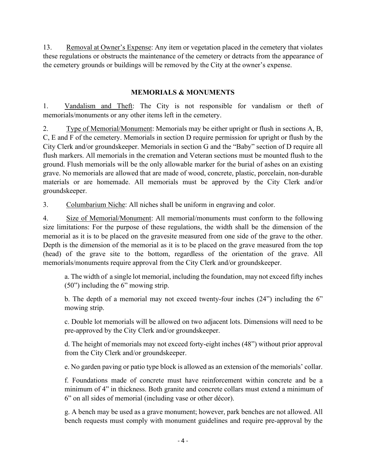13. Removal at Owner's Expense: Any item or vegetation placed in the cemetery that violates these regulations or obstructs the maintenance of the cemetery or detracts from the appearance of the cemetery grounds or buildings will be removed by the City at the owner's expense.

## **MEMORIALS & MONUMENTS**

1. Vandalism and Theft: The City is not responsible for vandalism or theft of memorials/monuments or any other items left in the cemetery.

2. Type of Memorial/Monument: Memorials may be either upright or flush in sections A, B, C, E and F of the cemetery. Memorials in section D require permission for upright or flush by the City Clerk and/or groundskeeper. Memorials in section G and the "Baby" section of D require all flush markers. All memorials in the cremation and Veteran sections must be mounted flush to the ground. Flush memorials will be the only allowable marker for the burial of ashes on an existing grave. No memorials are allowed that are made of wood, concrete, plastic, porcelain, non-durable materials or are homemade. All memorials must be approved by the City Clerk and/or groundskeeper.

3. Columbarium Niche: All niches shall be uniform in engraving and color.

4. Size of Memorial/Monument: All memorial/monuments must conform to the following size limitations: For the purpose of these regulations, the width shall be the dimension of the memorial as it is to be placed on the gravesite measured from one side of the grave to the other. Depth is the dimension of the memorial as it is to be placed on the grave measured from the top (head) of the grave site to the bottom, regardless of the orientation of the grave. All memorials/monuments require approval from the City Clerk and/or groundskeeper.

a. The width of a single lot memorial, including the foundation, may not exceed fifty inches (50") including the 6" mowing strip.

b. The depth of a memorial may not exceed twenty-four inches (24") including the 6" mowing strip.

c. Double lot memorials will be allowed on two adjacent lots. Dimensions will need to be pre-approved by the City Clerk and/or groundskeeper.

d. The height of memorials may not exceed forty-eight inches (48") without prior approval from the City Clerk and/or groundskeeper.

e. No garden paving or patio type block is allowed as an extension of the memorials' collar.

f. Foundations made of concrete must have reinforcement within concrete and be a minimum of 4" in thickness. Both granite and concrete collars must extend a minimum of 6" on all sides of memorial (including vase or other décor).

g. A bench may be used as a grave monument; however, park benches are not allowed. All bench requests must comply with monument guidelines and require pre-approval by the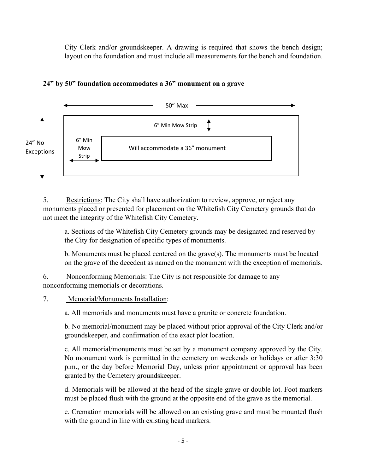City Clerk and/or groundskeeper. A drawing is required that shows the bench design; layout on the foundation and must include all measurements for the bench and foundation.



### **24" by 50" foundation accommodates a 36" monument on a grave**

5. Restrictions: The City shall have authorization to review, approve, or reject any monuments placed or presented for placement on the Whitefish City Cemetery grounds that do not meet the integrity of the Whitefish City Cemetery.

a. Sections of the Whitefish City Cemetery grounds may be designated and reserved by the City for designation of specific types of monuments.

b. Monuments must be placed centered on the grave(s). The monuments must be located on the grave of the decedent as named on the monument with the exception of memorials.

6. Nonconforming Memorials: The City is not responsible for damage to any nonconforming memorials or decorations.

### 7. Memorial/Monuments Installation:

a. All memorials and monuments must have a granite or concrete foundation.

b. No memorial/monument may be placed without prior approval of the City Clerk and/or groundskeeper, and confirmation of the exact plot location.

c. All memorial/monuments must be set by a monument company approved by the City. No monument work is permitted in the cemetery on weekends or holidays or after 3:30 p.m., or the day before Memorial Day, unless prior appointment or approval has been granted by the Cemetery groundskeeper.

d. Memorials will be allowed at the head of the single grave or double lot. Foot markers must be placed flush with the ground at the opposite end of the grave as the memorial.

e. Cremation memorials will be allowed on an existing grave and must be mounted flush with the ground in line with existing head markers.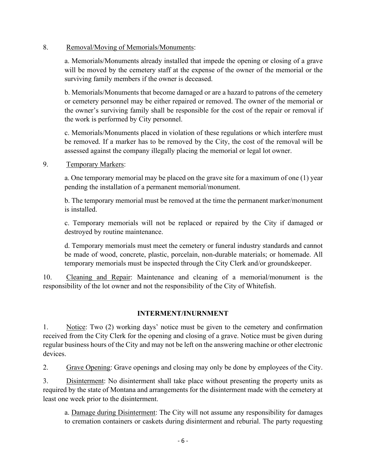#### 8. Removal/Moving of Memorials/Monuments:

a. Memorials/Monuments already installed that impede the opening or closing of a grave will be moved by the cemetery staff at the expense of the owner of the memorial or the surviving family members if the owner is deceased.

b. Memorials/Monuments that become damaged or are a hazard to patrons of the cemetery or cemetery personnel may be either repaired or removed. The owner of the memorial or the owner's surviving family shall be responsible for the cost of the repair or removal if the work is performed by City personnel.

c. Memorials/Monuments placed in violation of these regulations or which interfere must be removed. If a marker has to be removed by the City, the cost of the removal will be assessed against the company illegally placing the memorial or legal lot owner.

#### 9. Temporary Markers:

a. One temporary memorial may be placed on the grave site for a maximum of one (1) year pending the installation of a permanent memorial/monument.

b. The temporary memorial must be removed at the time the permanent marker/monument is installed.

c. Temporary memorials will not be replaced or repaired by the City if damaged or destroyed by routine maintenance.

d. Temporary memorials must meet the cemetery or funeral industry standards and cannot be made of wood, concrete, plastic, porcelain, non-durable materials; or homemade. All temporary memorials must be inspected through the City Clerk and/or groundskeeper.

10. Cleaning and Repair: Maintenance and cleaning of a memorial/monument is the responsibility of the lot owner and not the responsibility of the City of Whitefish.

### **INTERMENT/INURNMENT**

1. Notice: Two (2) working days' notice must be given to the cemetery and confirmation received from the City Clerk for the opening and closing of a grave. Notice must be given during regular business hours of the City and may not be left on the answering machine or other electronic devices.

2. Grave Opening: Grave openings and closing may only be done by employees of the City.

3. Disinterment: No disinterment shall take place without presenting the property units as required by the state of Montana and arrangements for the disinterment made with the cemetery at least one week prior to the disinterment.

a. Damage during Disinterment: The City will not assume any responsibility for damages to cremation containers or caskets during disinterment and reburial. The party requesting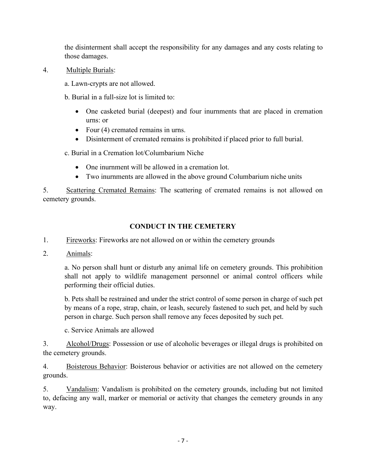the disinterment shall accept the responsibility for any damages and any costs relating to those damages.

- 4. Multiple Burials:
	- a. Lawn-crypts are not allowed.
	- b. Burial in a full-size lot is limited to:
		- One casketed burial (deepest) and four inurnments that are placed in cremation urns: or
		- Four (4) cremated remains in urns.
		- Disinterment of cremated remains is prohibited if placed prior to full burial.
	- c. Burial in a Cremation lot/Columbarium Niche
		- One inument will be allowed in a cremation lot.
		- Two inurnments are allowed in the above ground Columbarium niche units

5. Scattering Cremated Remains: The scattering of cremated remains is not allowed on cemetery grounds.

## **CONDUCT IN THE CEMETERY**

- 1. Fireworks: Fireworks are not allowed on or within the cemetery grounds
- 2. Animals:

a. No person shall hunt or disturb any animal life on cemetery grounds. This prohibition shall not apply to wildlife management personnel or animal control officers while performing their official duties.

b. Pets shall be restrained and under the strict control of some person in charge of such pet by means of a rope, strap, chain, or leash, securely fastened to such pet, and held by such person in charge. Such person shall remove any feces deposited by such pet.

c. Service Animals are allowed

3. Alcohol/Drugs: Possession or use of alcoholic beverages or illegal drugs is prohibited on the cemetery grounds.

4. Boisterous Behavior: Boisterous behavior or activities are not allowed on the cemetery grounds.

5. Vandalism: Vandalism is prohibited on the cemetery grounds, including but not limited to, defacing any wall, marker or memorial or activity that changes the cemetery grounds in any way.